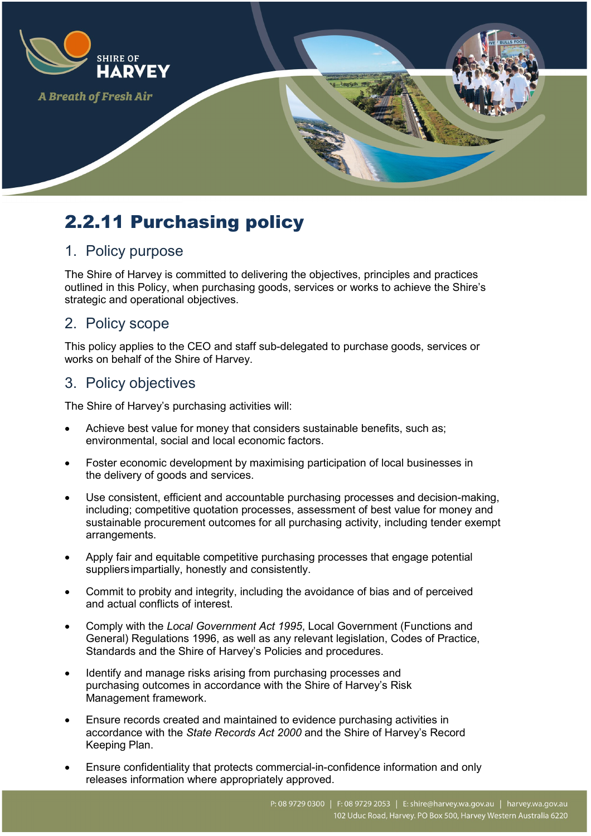

# 2.2.11 Purchasing policy

# 1. Policy purpose

The Shire of Harvey is committed to delivering the objectives, principles and practices outlined in this Policy, when purchasing goods, services or works to achieve the Shire's strategic and operational objectives.

# 2. Policy scope

This policy applies to the CEO and staff sub-delegated to purchase goods, services or works on behalf of the Shire of Harvey.

# 3. Policy objectives

The Shire of Harvey's purchasing activities will:

- Achieve best value for money that considers sustainable benefits, such as; environmental, social and local economic factors.
- Foster economic development by maximising participation of local businesses in the delivery of goods and services.
- Use consistent, efficient and accountable purchasing processes and decision-making, including; competitive quotation processes, assessment of best value for money and sustainable procurement outcomes for all purchasing activity, including tender exempt arrangements.
- Apply fair and equitable competitive purchasing processes that engage potential suppliersimpartially, honestly and consistently.
- Commit to probity and integrity, including the avoidance of bias and of perceived and actual conflicts of interest.
- Comply with the *Local Government Act 1995*, Local Government (Functions and General) Regulations 1996, as well as any relevant legislation, Codes of Practice, Standards and the Shire of Harvey's Policies and procedures.
- Identify and manage risks arising from purchasing processes and purchasing outcomes in accordance with the Shire of Harvey's Risk Management framework.
- Ensure records created and maintained to evidence purchasing activities in accordance with the *State Records Act 2000* and the Shire of Harvey's Record Keeping Plan.
- Ensure confidentiality that protects commercial-in-confidence information and only releases information where appropriately approved.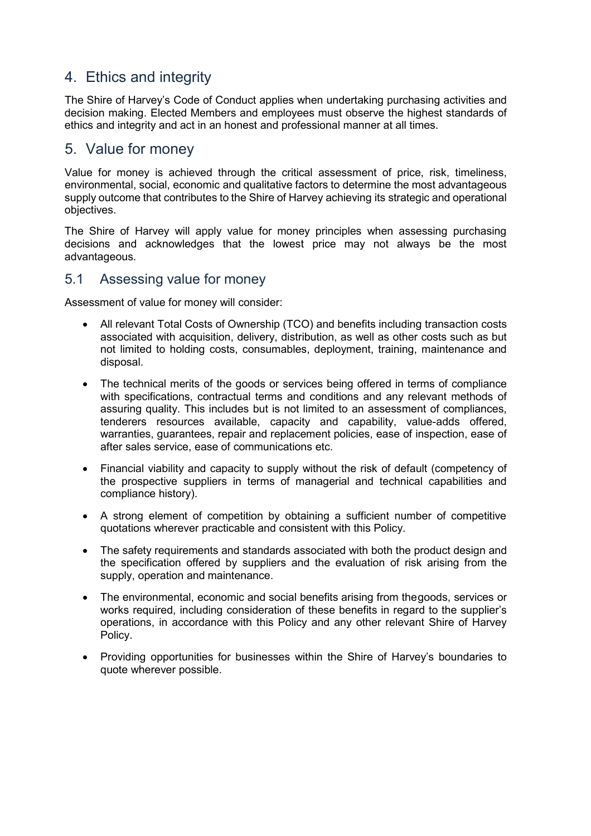# 4. Ethics and integrity

The Shire of Harvey's Code of Conduct applies when undertaking purchasing activities and decision making. Elected Members and employees must observe the highest standards of ethics and integrity and act in an honest and professional manner at all times.

#### 5. Value for money

Value for money is achieved through the critical assessment of price, risk, timeliness, environmental, social, economic and qualitative factors to determine the most advantageous supply outcome that contributes to the Shire of Harvey achieving its strategic and operational objectives.

The Shire of Harvey will apply value for money principles when assessing purchasing decisions and acknowledges that the lowest price may not always be the most advantageous.

#### 5.1 Assessing value for money

Assessment of value for money will consider:

- All relevant Total Costs of Ownership (TCO) and benefits including transaction costs associated with acquisition, delivery, distribution, as well as other costs such as but not limited to holding costs, consumables, deployment, training, maintenance and disposal.
- The technical merits of the goods or services being offered in terms of compliance with specifications, contractual terms and conditions and any relevant methods of assuring quality. This includes but is not limited to an assessment of compliances, tenderers resources available, capacity and capability, value-adds offered, warranties, guarantees, repair and replacement policies, ease of inspection, ease of after sales service, ease of communications etc.
- Financial viability and capacity to supply without the risk of default (competency of the prospective suppliers in terms of managerial and technical capabilities and compliance history).
- A strong element of competition by obtaining a sufficient number of competitive quotations wherever practicable and consistent with this Policy.
- The safety requirements and standards associated with both the product design and the specification offered by suppliers and the evaluation of risk arising from the supply, operation and maintenance.
- The environmental, economic and social benefits arising from thegoods, services or works required, including consideration of these benefits in regard to the supplier's operations, in accordance with this Policy and any other relevant Shire of Harvey Policy.
- Providing opportunities for businesses within the Shire of Harvey's boundaries to quote wherever possible.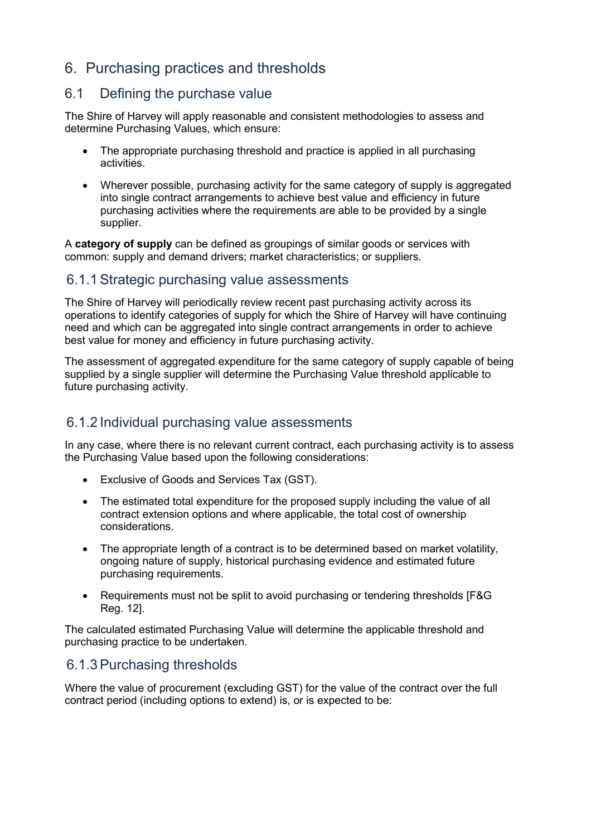# 6. Purchasing practices and thresholds

#### 6.1 Defining the purchase value

The Shire of Harvey will apply reasonable and consistent methodologies to assess and determine Purchasing Values, which ensure:

- The appropriate purchasing threshold and practice is applied in all purchasing activities.
- Wherever possible, purchasing activity for the same category of supply is aggregated into single contract arrangements to achieve best value and efficiency in future purchasing activities where the requirements are able to be provided by a single supplier.

A **category of supply** can be defined as groupings of similar goods or services with common: supply and demand drivers; market characteristics; or suppliers.

#### 6.1.1Strategic purchasing value assessments

The Shire of Harvey will periodically review recent past purchasing activity across its operations to identify categories of supply for which the Shire of Harvey will have continuing need and which can be aggregated into single contract arrangements in order to achieve best value for money and efficiency in future purchasing activity.

The assessment of aggregated expenditure for the same category of supply capable of being supplied by a single supplier will determine the Purchasing Value threshold applicable to future purchasing activity.

#### 6.1.2 Individual purchasing value assessments

In any case, where there is no relevant current contract, each purchasing activity is to assess the Purchasing Value based upon the following considerations:

- Exclusive of Goods and Services Tax (GST).
- The estimated total expenditure for the proposed supply including the value of all contract extension options and where applicable, the total cost of ownership considerations.
- The appropriate length of a contract is to be determined based on market volatility, ongoing nature of supply, historical purchasing evidence and estimated future purchasing requirements.
- Requirements must not be split to avoid purchasing or tendering thresholds [F&G] Reg. 12].

The calculated estimated Purchasing Value will determine the applicable threshold and purchasing practice to be undertaken.

#### 6.1.3Purchasing thresholds

Where the value of procurement (excluding GST) for the value of the contract over the full contract period (including options to extend) is, or is expected to be: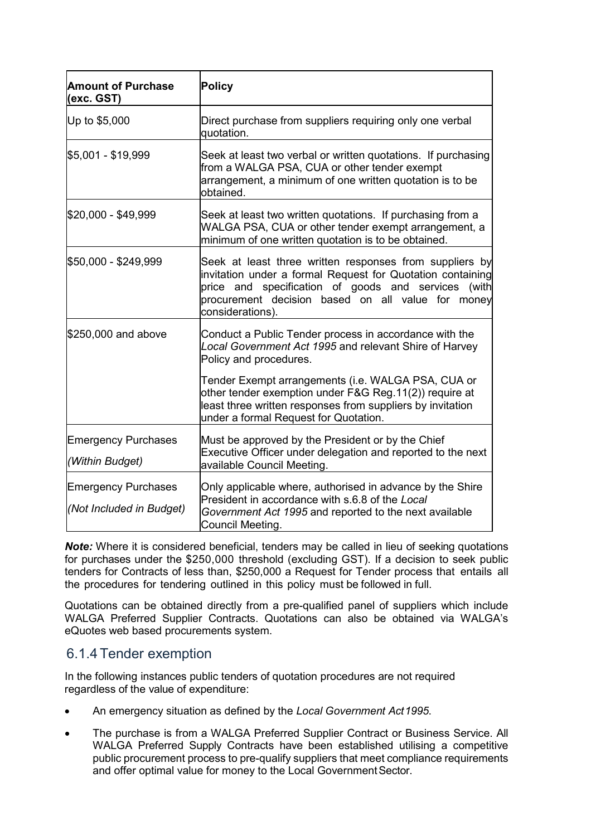| <b>Amount of Purchase</b><br>(exc. GST)                | Policy                                                                                                                                                                                                                                                     |  |  |
|--------------------------------------------------------|------------------------------------------------------------------------------------------------------------------------------------------------------------------------------------------------------------------------------------------------------------|--|--|
| Up to \$5,000                                          | Direct purchase from suppliers requiring only one verbal<br>quotation.                                                                                                                                                                                     |  |  |
| \$5,001 - \$19,999                                     | Seek at least two verbal or written quotations. If purchasing<br>from a WALGA PSA, CUA or other tender exempt<br>arrangement, a minimum of one written quotation is to be<br>obtained.                                                                     |  |  |
| \$20,000 - \$49,999                                    | Seek at least two written quotations. If purchasing from a<br>WALGA PSA, CUA or other tender exempt arrangement, a<br>minimum of one written quotation is to be obtained.                                                                                  |  |  |
| \$50,000 - \$249,999                                   | Seek at least three written responses from suppliers by<br>invitation under a formal Request for Quotation containing<br>price and specification of goods and services<br>(with<br>procurement decision based on all value for money<br>considerations).   |  |  |
| $$250,000$ and above                                   | Conduct a Public Tender process in accordance with the<br>Local Government Act 1995 and relevant Shire of Harvey<br>Policy and procedures.<br>Tender Exempt arrangements (i.e. WALGA PSA, CUA or<br>other tender exemption under F&G Reg.11(2)) require at |  |  |
|                                                        | least three written responses from suppliers by invitation<br>under a formal Request for Quotation.                                                                                                                                                        |  |  |
| <b>Emergency Purchases</b>                             | Must be approved by the President or by the Chief<br>Executive Officer under delegation and reported to the next                                                                                                                                           |  |  |
| (Within Budget)                                        | available Council Meeting.                                                                                                                                                                                                                                 |  |  |
| <b>Emergency Purchases</b><br>(Not Included in Budget) | Only applicable where, authorised in advance by the Shire<br>President in accordance with s.6.8 of the Local                                                                                                                                               |  |  |
|                                                        | Government Act 1995 and reported to the next available<br>Council Meeting.                                                                                                                                                                                 |  |  |

**Note:** Where it is considered beneficial, tenders may be called in lieu of seeking quotations for purchases under the \$250,000 threshold (excluding GST). If a decision to seek public tenders for Contracts of less than, \$250,000 a Request for Tender process that entails all the procedures for tendering outlined in this policy must be followed in full.

Quotations can be obtained directly from a pre-qualified panel of suppliers which include WALGA Preferred Supplier Contracts. Quotations can also be obtained via WALGA's eQuotes web based procurements system.

#### 6.1.4 Tender exemption

In the following instances public tenders of quotation procedures are not required regardless of the value of expenditure:

- An emergency situation as defined by the *Local Government Act1995*.
- The purchase is from a WALGA Preferred Supplier Contract or Business Service. All WALGA Preferred Supply Contracts have been established utilising a competitive public procurement process to pre-qualify suppliers that meet compliance requirements and offer optimal value for money to the Local Government Sector.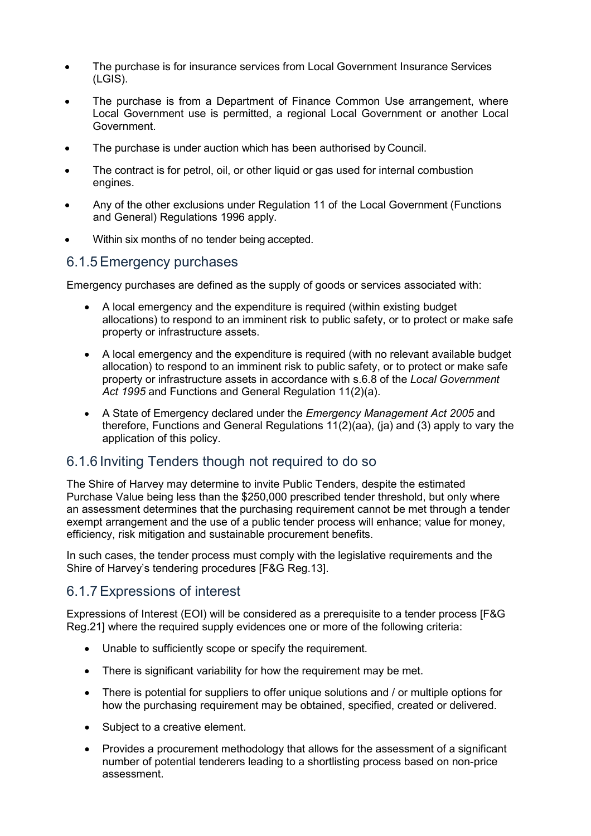- The purchase is for insurance services from Local Government Insurance Services (LGIS).
- The purchase is from a Department of Finance Common Use arrangement, where Local Government use is permitted, a regional Local Government or another Local Government.
- The purchase is under auction which has been authorised by Council.
- The contract is for petrol, oil, or other liquid or gas used for internal combustion engines.
- Any of the other exclusions under Regulation 11 of the Local Government (Functions and General) Regulations 1996 apply.
- Within six months of no tender being accepted.

#### 6.1.5Emergency purchases

Emergency purchases are defined as the supply of goods or services associated with:

- A local emergency and the expenditure is required (within existing budget allocations) to respond to an imminent risk to public safety, or to protect or make safe property or infrastructure assets.
- A local emergency and the expenditure is required (with no relevant available budget allocation) to respond to an imminent risk to public safety, or to protect or make safe property or infrastructure assets in accordance with s.6.8 of the *Local Government Act 1995* and Functions and General Regulation 11(2)(a).
- A State of Emergency declared under the *Emergency Management Act 2005* and therefore, Functions and General Regulations 11(2)(aa), (ja) and (3) apply to vary the application of this policy.

#### 6.1.6 Inviting Tenders though not required to do so

The Shire of Harvey may determine to invite Public Tenders, despite the estimated Purchase Value being less than the \$250,000 prescribed tender threshold, but only where an assessment determines that the purchasing requirement cannot be met through a tender exempt arrangement and the use of a public tender process will enhance; value for money, efficiency, risk mitigation and sustainable procurement benefits.

In such cases, the tender process must comply with the legislative requirements and the Shire of Harvey's tendering procedures [F&G Reg.13].

#### 6.1.7Expressions of interest

Expressions of Interest (EOI) will be considered as a prerequisite to a tender process [F&G Reg.21] where the required supply evidences one or more of the following criteria:

- Unable to sufficiently scope or specify the requirement.
- There is significant variability for how the requirement may be met.
- There is potential for suppliers to offer unique solutions and / or multiple options for how the purchasing requirement may be obtained, specified, created or delivered.
- Subject to a creative element.
- Provides a procurement methodology that allows for the assessment of a significant number of potential tenderers leading to a shortlisting process based on non-price assessment.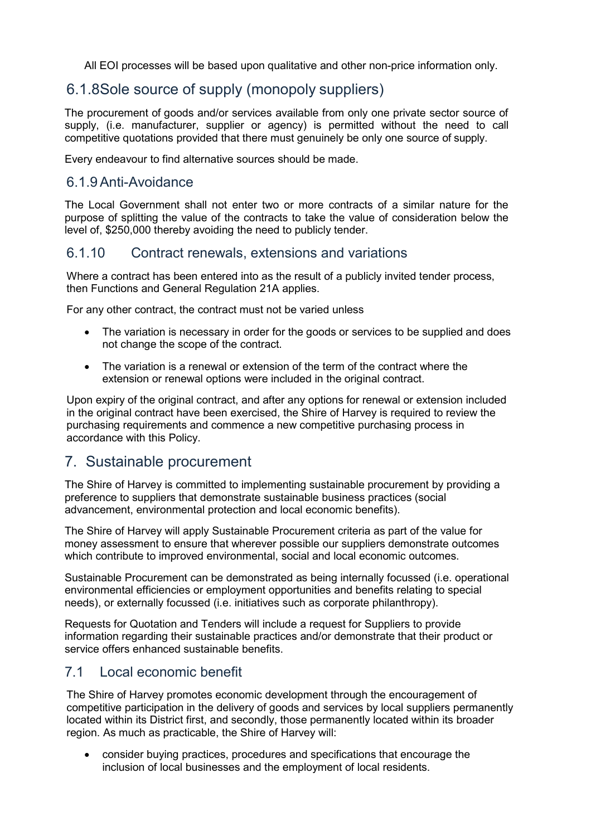All EOI processes will be based upon qualitative and other non-price information only.

# 6.1.8Sole source of supply (monopoly suppliers)

The procurement of goods and/or services available from only one private sector source of supply, (i.e. manufacturer, supplier or agency) is permitted without the need to call competitive quotations provided that there must genuinely be only one source of supply.

Every endeavour to find alternative sources should be made.

#### 6.1.9Anti-Avoidance

The Local Government shall not enter two or more contracts of a similar nature for the purpose of splitting the value of the contracts to take the value of consideration below the level of, \$250,000 thereby avoiding the need to publicly tender.

#### 6.1.10 Contract renewals, extensions and variations

Where a contract has been entered into as the result of a publicly invited tender process, then Functions and General Regulation 21A applies.

For any other contract, the contract must not be varied unless

- The variation is necessary in order for the goods or services to be supplied and does not change the scope of the contract.
- The variation is a renewal or extension of the term of the contract where the extension or renewal options were included in the original contract.

Upon expiry of the original contract, and after any options for renewal or extension included in the original contract have been exercised, the Shire of Harvey is required to review the purchasing requirements and commence a new competitive purchasing process in accordance with this Policy.

# 7. Sustainable procurement

The Shire of Harvey is committed to implementing sustainable procurement by providing a preference to suppliers that demonstrate sustainable business practices (social advancement, environmental protection and local economic benefits).

The Shire of Harvey will apply Sustainable Procurement criteria as part of the value for money assessment to ensure that wherever possible our suppliers demonstrate outcomes which contribute to improved environmental, social and local economic outcomes.

Sustainable Procurement can be demonstrated as being internally focussed (i.e. operational environmental efficiencies or employment opportunities and benefits relating to special needs), or externally focussed (i.e. initiatives such as corporate philanthropy).

Requests for Quotation and Tenders will include a request for Suppliers to provide information regarding their sustainable practices and/or demonstrate that their product or service offers enhanced sustainable benefits.

#### 7.1 Local economic benefit

The Shire of Harvey promotes economic development through the encouragement of competitive participation in the delivery of goods and services by local suppliers permanently located within its District first, and secondly, those permanently located within its broader region. As much as practicable, the Shire of Harvey will:

• consider buying practices, procedures and specifications that encourage the inclusion of local businesses and the employment of local residents.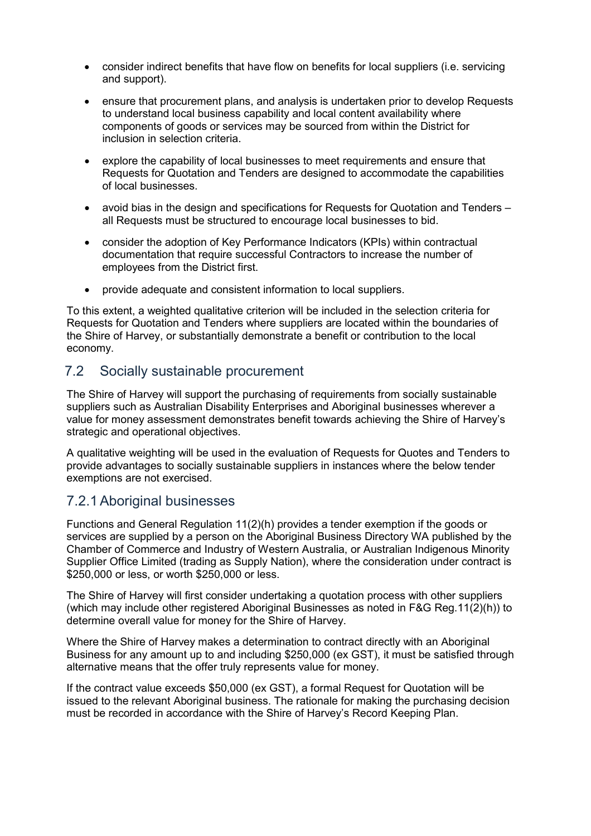- consider indirect benefits that have flow on benefits for local suppliers (i.e. servicing and support).
- ensure that procurement plans, and analysis is undertaken prior to develop Requests to understand local business capability and local content availability where components of goods or services may be sourced from within the District for inclusion in selection criteria.
- explore the capability of local businesses to meet requirements and ensure that Requests for Quotation and Tenders are designed to accommodate the capabilities of local businesses.
- avoid bias in the design and specifications for Requests for Quotation and Tenders all Requests must be structured to encourage local businesses to bid.
- consider the adoption of Key Performance Indicators (KPIs) within contractual documentation that require successful Contractors to increase the number of employees from the District first.
- provide adequate and consistent information to local suppliers.

To this extent, a weighted qualitative criterion will be included in the selection criteria for Requests for Quotation and Tenders where suppliers are located within the boundaries of the Shire of Harvey, or substantially demonstrate a benefit or contribution to the local economy.

#### 7.2 Socially sustainable procurement

The Shire of Harvey will support the purchasing of requirements from socially sustainable suppliers such as Australian Disability Enterprises and Aboriginal businesses wherever a value for money assessment demonstrates benefit towards achieving the Shire of Harvey's strategic and operational objectives.

A qualitative weighting will be used in the evaluation of Requests for Quotes and Tenders to provide advantages to socially sustainable suppliers in instances where the below tender exemptions are not exercised.

#### 7.2.1Aboriginal businesses

Functions and General Regulation 11(2)(h) provides a tender exemption if the goods or services are supplied by a person on the Aboriginal Business Directory WA published by the Chamber of Commerce and Industry of Western Australia, or Australian Indigenous Minority Supplier Office Limited (trading as Supply Nation), where the consideration under contract is \$250,000 or less, or worth \$250,000 or less.

The Shire of Harvey will first consider undertaking a quotation process with other suppliers (which may include other registered Aboriginal Businesses as noted in F&G Reg.11(2)(h)) to determine overall value for money for the Shire of Harvey.

Where the Shire of Harvey makes a determination to contract directly with an Aboriginal Business for any amount up to and including \$250,000 (ex GST), it must be satisfied through alternative means that the offer truly represents value for money.

If the contract value exceeds \$50,000 (ex GST), a formal Request for Quotation will be issued to the relevant Aboriginal business. The rationale for making the purchasing decision must be recorded in accordance with the Shire of Harvey's Record Keeping Plan.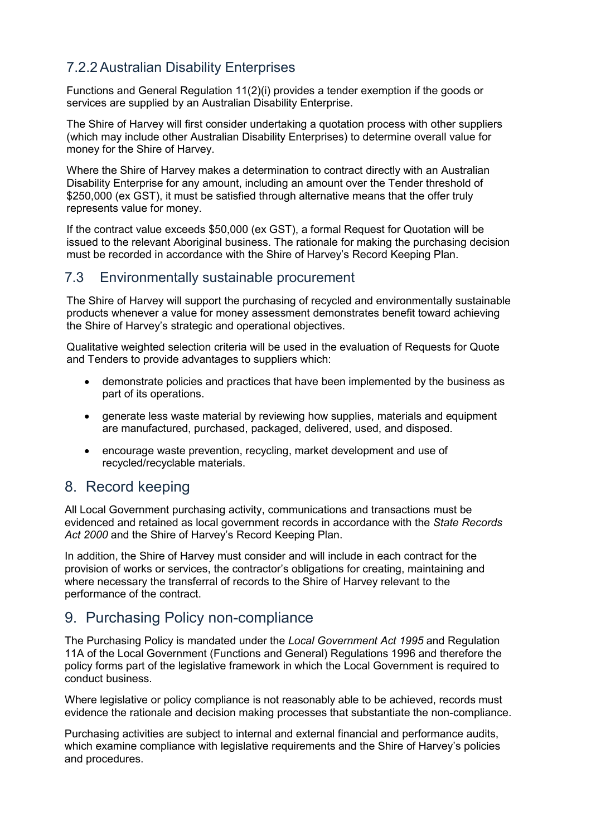# 7.2.2Australian Disability Enterprises

Functions and General Regulation 11(2)(i) provides a tender exemption if the goods or services are supplied by an Australian Disability Enterprise.

The Shire of Harvey will first consider undertaking a quotation process with other suppliers (which may include other Australian Disability Enterprises) to determine overall value for money for the Shire of Harvey.

Where the Shire of Harvey makes a determination to contract directly with an Australian Disability Enterprise for any amount, including an amount over the Tender threshold of \$250,000 (ex GST), it must be satisfied through alternative means that the offer truly represents value for money.

If the contract value exceeds \$50,000 (ex GST), a formal Request for Quotation will be issued to the relevant Aboriginal business. The rationale for making the purchasing decision must be recorded in accordance with the Shire of Harvey's Record Keeping Plan.

#### 7.3 Environmentally sustainable procurement

The Shire of Harvey will support the purchasing of recycled and environmentally sustainable products whenever a value for money assessment demonstrates benefit toward achieving the Shire of Harvey's strategic and operational objectives.

Qualitative weighted selection criteria will be used in the evaluation of Requests for Quote and Tenders to provide advantages to suppliers which:

- demonstrate policies and practices that have been implemented by the business as part of its operations.
- generate less waste material by reviewing how supplies, materials and equipment are manufactured, purchased, packaged, delivered, used, and disposed.
- encourage waste prevention, recycling, market development and use of recycled/recyclable materials.

# 8. Record keeping

All Local Government purchasing activity, communications and transactions must be evidenced and retained as local government records in accordance with the *State Records Act 2000* and the Shire of Harvey's Record Keeping Plan.

In addition, the Shire of Harvey must consider and will include in each contract for the provision of works or services, the contractor's obligations for creating, maintaining and where necessary the transferral of records to the Shire of Harvey relevant to the performance of the contract.

# 9. Purchasing Policy non-compliance

The Purchasing Policy is mandated under the *Local Government Act 1995* and Regulation 11A of the Local Government (Functions and General) Regulations 1996 and therefore the policy forms part of the legislative framework in which the Local Government is required to conduct business.

Where legislative or policy compliance is not reasonably able to be achieved, records must evidence the rationale and decision making processes that substantiate the non-compliance.

Purchasing activities are subject to internal and external financial and performance audits, which examine compliance with legislative requirements and the Shire of Harvey's policies and procedures.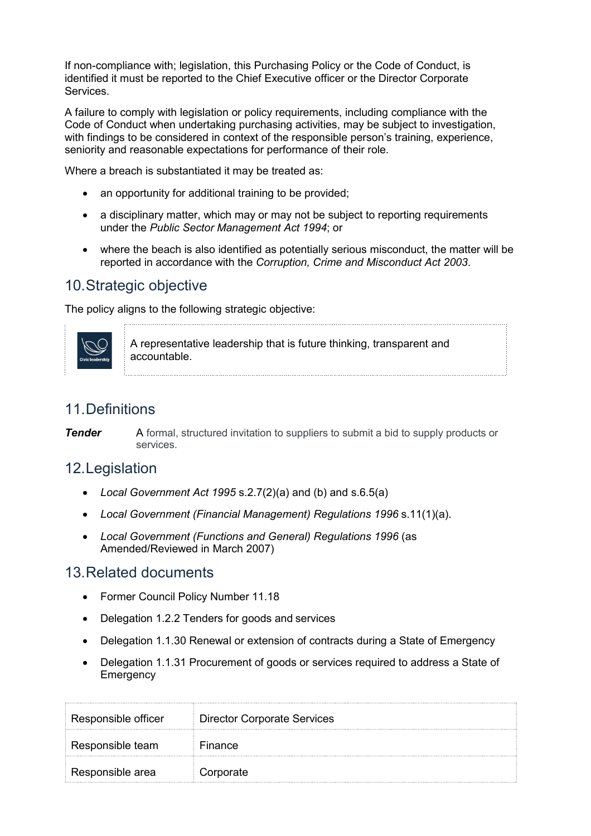If non-compliance with; legislation, this Purchasing Policy or the Code of Conduct, is identified it must be reported to the Chief Executive officer or the Director Corporate Services.

A failure to comply with legislation or policy requirements, including compliance with the Code of Conduct when undertaking purchasing activities, may be subject to investigation, with findings to be considered in context of the responsible person's training, experience, seniority and reasonable expectations for performance of their role.

Where a breach is substantiated it may be treated as:

- an opportunity for additional training to be provided;
- a disciplinary matter, which may or may not be subject to reporting requirements under the *Public Sector Management Act 1994*; or
- where the beach is also identified as potentially serious misconduct, the matter will be reported in accordance with the *Corruption, Crime and Misconduct Act 2003*.

#### 10.Strategic objective

The policy aligns to the following strategic objective:



A representative leadership that is future thinking, transparent and accountable.

# 11.Definitions

**Tender** A formal, structured invitation to suppliers to submit a bid to supply products or services.

# 12.Legislation

- *Local Government Act 1995* s.2.7(2)(a) and (b) and s.6.5(a)
- *Local Government (Financial Management) Regulations 1996* s.11(1)(a).
- *Local Government (Functions and General) Regulations 1996* (as Amended/Reviewed in March 2007)

#### 13.Related documents

- Former Council Policy Number 11.18
- Delegation 1.2.2 Tenders for goods and services
- Delegation 1.1.30 Renewal or extension of contracts during a State of Emergency
- Delegation 1.1.31 Procurement of goods or services required to address a State of **Emergency**

| Responsible officer | <b>Director Corporate Services</b> |
|---------------------|------------------------------------|
| Responsible team    | Finance                            |
| Responsible area    | Corporate                          |